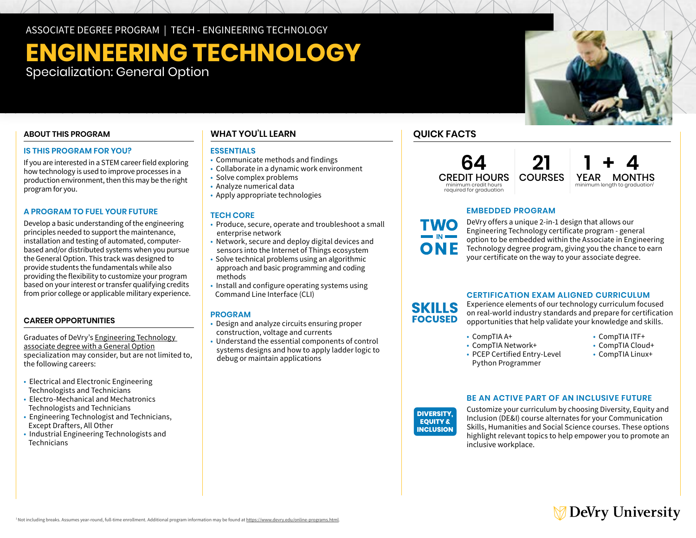ASSOCIATE DEGREE PROGRAM | TECH - ENGINEERING TECHNOLOGY

# **ENGINEERING TECHNOLOGY**

Specialization: General Option

### **ABOUT THIS PROGRAM**

#### **IS THIS PROGRAM FOR YOU?**

If you are interested in a STEM career field exploring how technology is used to improve processes in a production environment, then this may be the right program for you.

#### **A PROGRAM TO FUEL YOUR FUTURE**

Develop a basic understanding of the engineering principles needed to support the maintenance, installation and testing of automated, computerbased and/or distributed systems when you pursue the General Option. This track was designed to provide students the fundamentals while also providing the flexibility to customize your program based on your interest or transfer qualifying credits from prior college or applicable military experience.

#### **CAREER OPPORTUNITIES**

Graduates of DeVry's [Engineering Technology](https://www.devry.edu/associate-degrees/engineering-technology.html)  [associate degree with a General Option](https://www.devry.edu/associate-degrees/engineering-technology.html) specialization may consider, but are not limited to, the following careers:

- Electrical and Electronic Engineering Technologists and Technicians
- Electro-Mechanical and Mechatronics Technologists and Technicians
- Engineering Technologist and Technicians, Except Drafters, All Other
- Industrial Engineering Technologists and Technicians

### **WHAT YOU'LL LEARN**

#### **ESSENTIALS**

- Communicate methods and findings
- Collaborate in a dynamic work environment
- Solve complex problems
- Analyze numerical data
- Apply appropriate technologies

#### **TECH CORE**

- Produce, secure, operate and troubleshoot a small enterprise network
- Network, secure and deploy digital devices and sensors into the Internet of Things ecosystem
- Solve technical problems using an algorithmic approach and basic programming and coding methods
- Install and configure operating systems using Command Line Interface (CLI)

#### **PROGRAM**

- Design and analyze circuits ensuring proper construction, voltage and currents
- Understand the essential components of control systems designs and how to apply ladder logic to debug or maintain applications

### **QUICK FACTS**

ONE

**SKILLS FOCUSED** 

**64** CREDIT HOURS minimum credit hours required for graduation



#### **EMBEDDED PROGRAM**

DeVry offers a unique 2-in-1 design that allows our Engineering Technology certificate program - general option to be embedded within the Associate in Engineering Technology degree program, giving you the chance to earn your certificate on the way to your associate degree.

**21**

#### **CERTIFICATION EXAM ALIGNED CURRICULUM**

Experience elements of our technology curriculum focused on real-world industry standards and prepare for certification opportunities that help validate your knowledge and skills.

- 
- CompTIA A+ CompTIA ITF+  $\cdot$  CompTIA Network+
- PCEP Certified Entry-Level CompTIA Linux+
- 
- -

# Python Programmer

#### **BE AN ACTIVE PART OF AN INCLUSIVE FUTURE**



Customize your curriculum by choosing Diversity, Equity and Inclusion (DE&I) course alternates for your Communication Skills, Humanities and Social Science courses. These options highlight relevant topics to help empower you to promote an inclusive workplace.

# **DeVry University**